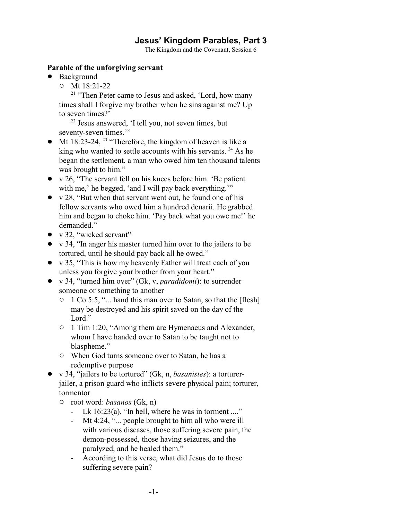# **Jesus' Kingdom Parables, Part 3**

The Kingdom and the Covenant, Session 6

#### **Parable of the unforgiving servant**

- Background
	- $\circ$  Mt 18:21-22

<sup>21</sup> "Then Peter came to Jesus and asked, 'Lord, how many times shall I forgive my brother when he sins against me? Up to seven times?'

<sup>22</sup> Jesus answered, 'I tell you, not seven times, but seventy-seven times."

- Mt 18:23-24,  $^{23}$  "Therefore, the kingdom of heaven is like a king who wanted to settle accounts with his servants.  $24$  As he began the settlement, a man who owed him ten thousand talents was brought to him."
- $\bullet$  v 26, "The servant fell on his knees before him. 'Be patient with me,' he begged, 'and I will pay back everything.'"
- $\bullet$  v 28, "But when that servant went out, he found one of his fellow servants who owed him a hundred denarii. He grabbed him and began to choke him. 'Pay back what you owe me!' he demanded."
- $\bullet$  v 32, "wicked servant"
- v 34, "In anger his master turned him over to the jailers to be tortured, until he should pay back all he owed."
- v 35, "This is how my heavenly Father will treat each of you unless you forgive your brother from your heart."
- ! v 34, "turned him over" (Gk, v, *paradidomi*): to surrender someone or something to another
	- <sup>o</sup> 1 Co 5:5, "... hand this man over to Satan, so that the [flesh] may be destroyed and his spirit saved on the day of the Lord."
	- <sup>o</sup> 1 Tim 1:20, "Among them are Hymenaeus and Alexander, whom I have handed over to Satan to be taught not to blaspheme."
	- $\circ$  When God turns someone over to Satan, he has a redemptive purpose
- ! v 34, "jailers to be tortured" (Gk, n, *basanistes*): a torturerjailer, a prison guard who inflicts severe physical pain; torturer, tormentor
	- " root word: *basanos* (Gk, n)
		- Lk 16:23(a), "In hell, where he was in torment ...."
		- Mt 4:24, "... people brought to him all who were ill with various diseases, those suffering severe pain, the demon-possessed, those having seizures, and the paralyzed, and he healed them."
		- According to this verse, what did Jesus do to those suffering severe pain?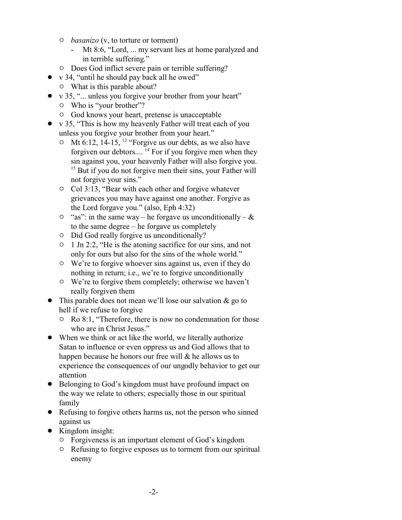- " *basanizo* (v, to torture or torment)
	- Mt 8:6, "Lord, ... my servant lies at home paralyzed and in terrible suffering."
- $\circ$  Does God inflict severe pain or terrible suffering?
- $\bullet$  v 34, "until he should pay back all he owed"
	- $\circ$  What is this parable about?
- v 35, "... unless you forgive your brother from your heart"  $\circ$  Who is "your brother"?
	- $\circ$  God knows your heart, pretense is unacceptable
- $\bullet$  v 35, "This is how my heavenly Father will treat each of you unless you forgive your brother from your heart."
	- $\circ$  Mt 6:12, 14-15, <sup>12</sup> "Forgive us our debts, as we also have forgiven our debtors.... <sup>14</sup> For if you forgive men when they sin against you, your heavenly Father will also forgive you. <sup>15</sup> But if you do not forgive men their sins, your Father will not forgive your sins."
	- $\circ$  Col 3:13, "Bear with each other and forgive whatever grievances you may have against one another. Forgive as the Lord forgave you." (also, Eph 4:32)
	- $\circ$  "as": in the same way he forgave us unconditionally  $\&$ to the same degree – he forgave us completely
	- $\circ$  Did God really forgive us unconditionally?
	- $\circ$  1 Jn 2:2, "He is the atoning sacrifice for our sins, and not only for ours but also for the sins of the whole world."
	- $\circ$  We're to forgive whoever sins against us, even if they do nothing in return; i.e., we're to forgive unconditionally
	- $\circ$  We're to forgive them completely; otherwise we haven't really forgiven them
- This parable does not mean we'll lose our salvation  $\&$  go to hell if we refuse to forgive
	- $\circ$  Ro 8:1, "Therefore, there is now no condemnation for those who are in Christ Jesus."
- When we think or act like the world, we literally authorize Satan to influence or even oppress us and God allows that to happen because he honors our free will & he allows us to experience the consequences of our ungodly behavior to get our attention
- Belonging to God's kingdom must have profound impact on the way we relate to others; especially those in our spiritual family
- ! Refusing to forgive others harms us, not the person who sinned against us
- Kingdom insight:
	- $\circ$  Forgiveness is an important element of God's kingdom
	- $\circ$  Refusing to forgive exposes us to torment from our spiritual enemy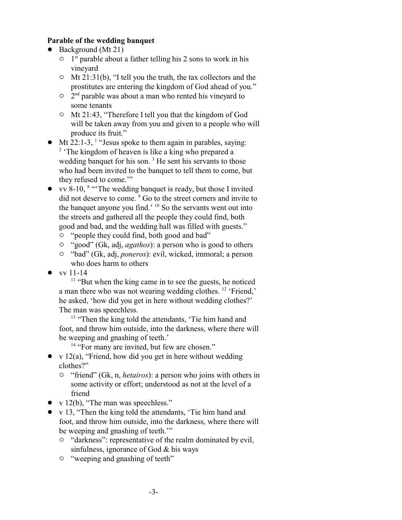### **Parable of the wedding banquet**

- $\bullet$  Background (Mt 21)
	- $\circ$  1<sup>st</sup> parable about a father telling his 2 sons to work in his vineyard
	- $\circ$  Mt 21:31(b), "I tell you the truth, the tax collectors and the prostitutes are entering the kingdom of God ahead of you."
	- $\circ$   $2<sup>nd</sup>$  parable was about a man who rented his vineyard to some tenants
	- <sup>o</sup> Mt 21:43, "Therefore I tell you that the kingdom of God will be taken away from you and given to a people who will produce its fruit."
- $\bullet$  Mt 22:1-3, <sup>1</sup> "Jesus spoke to them again in parables, saying: <sup>2</sup> 'The kingdom of heaven is like a king who prepared a wedding banquet for his son.<sup>3</sup> He sent his servants to those who had been invited to the banquet to tell them to come, but they refused to come.'"
- vv 8-10, <sup>8</sup> "The wedding banquet is ready, but those I invited did not deserve to come.<sup>9</sup> Go to the street corners and invite to the banquet anyone you find.' <sup>10</sup> So the servants went out into the streets and gathered all the people they could find, both good and bad, and the wedding hall was filled with guests."
	- " "people they could find, both good and bad"
	- <sup>o</sup> "good" (Gk, adj, *agathos*): a person who is good to others
	- " "bad" (Gk, adj, *poneros*): evil, wicked, immoral; a person who does harm to others
- $\bullet$  vv 11-14

<sup>11</sup> "But when the king came in to see the guests, he noticed a man there who was not wearing wedding clothes. <sup>12</sup> 'Friend,' he asked, 'how did you get in here without wedding clothes?' The man was speechless.

<sup>13</sup> "Then the king told the attendants, 'Tie him hand and foot, and throw him outside, into the darkness, where there will be weeping and gnashing of teeth.'

<sup>14</sup> "For many are invited, but few are chosen."

- $\bullet$  v 12(a), "Friend, how did you get in here without wedding clothes?"
	- <sup>o</sup> "friend" (Gk, n, *hetairos*): a person who joins with others in some activity or effort; understood as not at the level of a friend
- $\bullet$  v 12(b), "The man was speechless."
- v 13, "Then the king told the attendants, 'Tie him hand and foot, and throw him outside, into the darkness, where there will be weeping and gnashing of teeth.'"
	- <sup>o</sup> "darkness": representative of the realm dominated by evil, sinfulness, ignorance of God & his ways
	- $\circ$  "weeping and gnashing of teeth"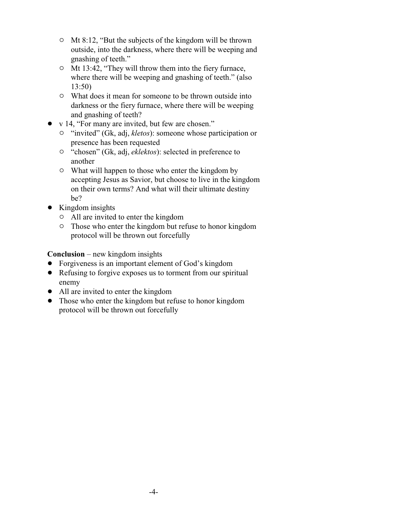- $\circ$  Mt 8:12, "But the subjects of the kingdom will be thrown outside, into the darkness, where there will be weeping and gnashing of teeth."
- <sup>o</sup> Mt 13:42, "They will throw them into the fiery furnace, where there will be weeping and gnashing of teeth." (also 13:50)
- $\circ$  What does it mean for someone to be thrown outside into darkness or the fiery furnace, where there will be weeping and gnashing of teeth?
- v 14, "For many are invited, but few are chosen."
	- <sup>o</sup> "invited" (Gk, adj, *kletos*): someone whose participation or presence has been requested
	- " "chosen" (Gk, adj, *eklektos*): selected in preference to another
	- $\circ$  What will happen to those who enter the kingdom by accepting Jesus as Savior, but choose to live in the kingdom on their own terms? And what will their ultimate destiny be?
- Kingdom insights
	- " All are invited to enter the kingdom
	- $\circ$  Those who enter the kingdom but refuse to honor kingdom protocol will be thrown out forcefully

**Conclusion** – new kingdom insights

- Forgiveness is an important element of God's kingdom
- Refusing to forgive exposes us to torment from our spiritual enemy
- All are invited to enter the kingdom
- Those who enter the kingdom but refuse to honor kingdom protocol will be thrown out forcefully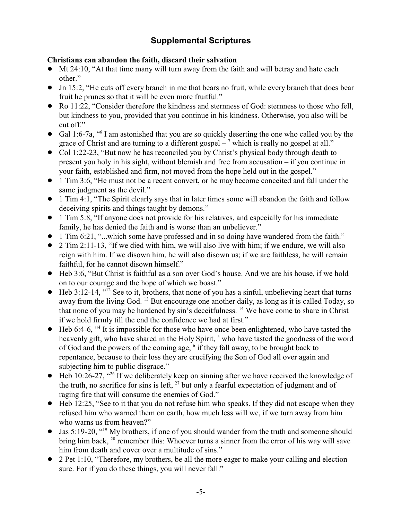# **Supplemental Scriptures**

## **Christians can abandon the faith, discard their salvation**

- $\bullet$  Mt 24:10, "At that time many will turn away from the faith and will betray and hate each other."
- ! Jn 15:2, "He cuts off every branch in me that bears no fruit, while every branch that does bear fruit he prunes so that it will be even more fruitful."
- Ro 11:22, "Consider therefore the kindness and sternness of God: sternness to those who fell, but kindness to you, provided that you continue in his kindness. Otherwise, you also will be cut off."
- Gal 1:6-7a, "<sup>6</sup> I am astonished that you are so quickly deserting the one who called you by the grace of Christ and are turning to a different gospel  $-$ <sup>7</sup> which is really no gospel at all."
- Col 1:22-23, "But now he has reconciled you by Christ's physical body through death to present you holy in his sight, without blemish and free from accusation – if you continue in your faith, established and firm, not moved from the hope held out in the gospel."
- ! 1 Tim 3:6, "He must not be a recent convert, or he may become conceited and fall under the same judgment as the devil."
- 1 Tim 4:1, "The Spirit clearly says that in later times some will abandon the faith and follow deceiving spirits and things taught by demons."
- ! 1 Tim 5:8, "If anyone does not provide for his relatives, and especially for his immediate family, he has denied the faith and is worse than an unbeliever."
- 1 Tim 6:21, "...which some have professed and in so doing have wandered from the faith."
- 2 Tim 2:11-13, "If we died with him, we will also live with him; if we endure, we will also reign with him. If we disown him, he will also disown us; if we are faithless, he will remain faithful, for he cannot disown himself."
- ! Heb 3:6, "But Christ is faithful as a son over God's house. And we are his house, if we hold on to our courage and the hope of which we boast."
- $\bullet$  Heb 3:12-14, "<sup>12</sup> See to it, brothers, that none of you has a sinful, unbelieving heart that turns away from the living God. <sup>13</sup> But encourage one another daily, as long as it is called Today, so that none of you may be hardened by sin's deceitfulness. <sup>14</sup> We have come to share in Christ if we hold firmly till the end the confidence we had at first."
- ! Heb 6:4-6, "<sup>4</sup> It is impossible for those who have once been enlightened, who have tasted the heavenly gift, who have shared in the Holy Spirit, <sup>5</sup> who have tasted the goodness of the word of God and the powers of the coming age,  $\delta$  if they fall away, to be brought back to repentance, because to their loss they are crucifying the Son of God all over again and subjecting him to public disgrace."
- $\bullet$  Heb 10:26-27, "<sup>26</sup> If we deliberately keep on sinning after we have received the knowledge of the truth, no sacrifice for sins is left,  $27$  but only a fearful expectation of judgment and of raging fire that will consume the enemies of God."
- ! Heb 12:25, "See to it that you do not refuse him who speaks. If they did not escape when they refused him who warned them on earth, how much less will we, if we turn away from him who warns us from heaven?"
- Jas 5:19-20, "<sup>19</sup> My brothers, if one of you should wander from the truth and someone should bring him back, <sup>20</sup> remember this: Whoever turns a sinner from the error of his way will save him from death and cover over a multitude of sins."
- 2 Pet 1:10, "Therefore, my brothers, be all the more eager to make your calling and election sure. For if you do these things, you will never fall."